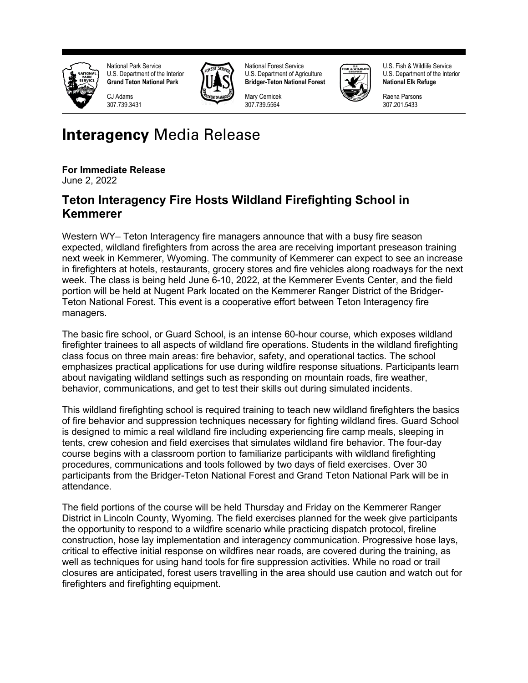

National Park Service U.S. Department of the Interior **Grand Teton National Park**



National Forest Service U.S. Department of Agriculture **Bridger-Teton National Forest**

Mary Cernicek 307.739.5564



U.S. Fish & Wildlife Service U.S. Department of the Interior **National Elk Refuge**

Raena Parsons 307.201.5433

## **Interagency** Media Release

## **For Immediate Release**

C<sub>J</sub> Adams 307.739.3431

June 2, 2022

## **Teton Interagency Fire Hosts Wildland Firefighting School in Kemmerer**

Western WY– Teton Interagency fire managers announce that with a busy fire season expected, wildland firefighters from across the area are receiving important preseason training next week in Kemmerer, Wyoming. The community of Kemmerer can expect to see an increase in firefighters at hotels, restaurants, grocery stores and fire vehicles along roadways for the next week. The class is being held June 6-10, 2022, at the Kemmerer Events Center, and the field portion will be held at Nugent Park located on the Kemmerer Ranger District of the Bridger-Teton National Forest. This event is a cooperative effort between Teton Interagency fire managers.

The basic fire school, or Guard School, is an intense 60-hour course, which exposes wildland firefighter trainees to all aspects of wildland fire operations. Students in the wildland firefighting class focus on three main areas: fire behavior, safety, and operational tactics. The school emphasizes practical applications for use during wildfire response situations. Participants learn about navigating wildland settings such as responding on mountain roads, fire weather, behavior, communications, and get to test their skills out during simulated incidents.

This wildland firefighting school is required training to teach new wildland firefighters the basics of fire behavior and suppression techniques necessary for fighting wildland fires. Guard School is designed to mimic a real wildland fire including experiencing fire camp meals, sleeping in tents, crew cohesion and field exercises that simulates wildland fire behavior. The four-day course begins with a classroom portion to familiarize participants with wildland firefighting procedures, communications and tools followed by two days of field exercises. Over 30 participants from the Bridger-Teton National Forest and Grand Teton National Park will be in attendance.

The field portions of the course will be held Thursday and Friday on the Kemmerer Ranger District in Lincoln County, Wyoming. The field exercises planned for the week give participants the opportunity to respond to a wildfire scenario while practicing dispatch protocol, fireline construction, hose lay implementation and interagency communication. Progressive hose lays, critical to effective initial response on wildfires near roads, are covered during the training, as well as techniques for using hand tools for fire suppression activities. While no road or trail closures are anticipated, forest users travelling in the area should use caution and watch out for firefighters and firefighting equipment.